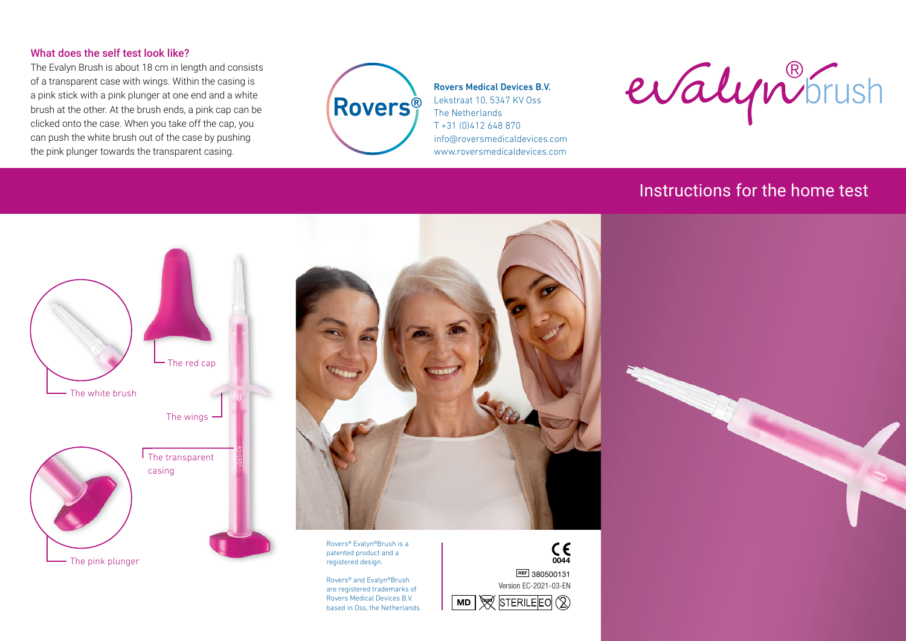## What does the self test look like?

The Evalyn Brush is about 18 cm in length and consists of a transparent case with wings. Within the casing is a pink stick with a pink plunger at one end and a white brush at the other. At the brush ends, a pink cap can be clicked onto the case. When you take off the cap, you can push the white brush out of the case by pushing the pink plunger towards the transparent casing.



Rovers Medical Devices B.V. Lekstraat 10, 5347 KV Oss The Netherlands T +31 (0)412 648 870 info@roversmedicaldevices.com www.roversmedicaldevices.com

evalyn<sup>8</sup>frush

## Instructions for the home test





Rovers® Evalyn®Brush is a patented product and a registered design.

Rovers® and Evalyn®Brush are registered trademarks of Rovers Medical Devices B.V. Rovers Medical Devices B.V.<br>based in Oss, the Netherlands. **MD** We STERILE CO